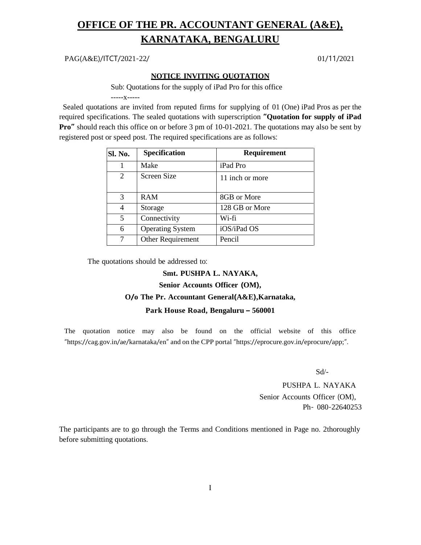## **OFFICE OF THE PR. ACCOUNTANT GENERAL (A&E), KARNATAKA, BENGALURU**

PAG(A&E)/ITCT/2021-22/ 01/11/2021

#### **NOTICE INVITING QUOTATION**

Sub: Quotations for the supply of iPad Pro for this office

-----x-----

Sealed quotations are invited from reputed firms for supplying of 01 (One) iPad Pros as per the required specifications. The sealed quotations with superscription **"Quotation for supply of iPad Pro<sup>"</sup>** should reach this office on or before 3 pm of 10-01-2021. The quotations may also be sent by registered post or speed post. The required specifications are as follows:

| Sl. No. | <b>Specification</b>    | Requirement     |
|---------|-------------------------|-----------------|
|         | Make                    | iPad Pro        |
| 2       | Screen Size             | 11 inch or more |
| 3       | <b>RAM</b>              | 8GB or More     |
| 4       | Storage                 | 128 GB or More  |
| 5       | Connectivity            | Wi-fi           |
| 6       | <b>Operating System</b> | iOS/iPad OS     |
|         | Other Requirement       | Pencil          |

The quotations should be addressed to:

#### **Smt. PUSHPA L. NAYAKA,**

### **Senior Accounts Officer (OM),**

#### **O/o The Pr. Accountant General(A&E),Karnataka,**

#### **Park House Road, Bengaluru – 560001**

The quotation notice may also be found on the official website of this office "https://cag.gov.in/ae/karnataka/en" and on the CPP portal "https://eprocure.gov.in/eprocure/app;".

Sd/-

PUSHPA L. NAYAKA Senior Accounts Officer (OM), Ph- 080-22640253

The participants are to go through the Terms and Conditions mentioned in Page no. 2thoroughly before submitting quotations.